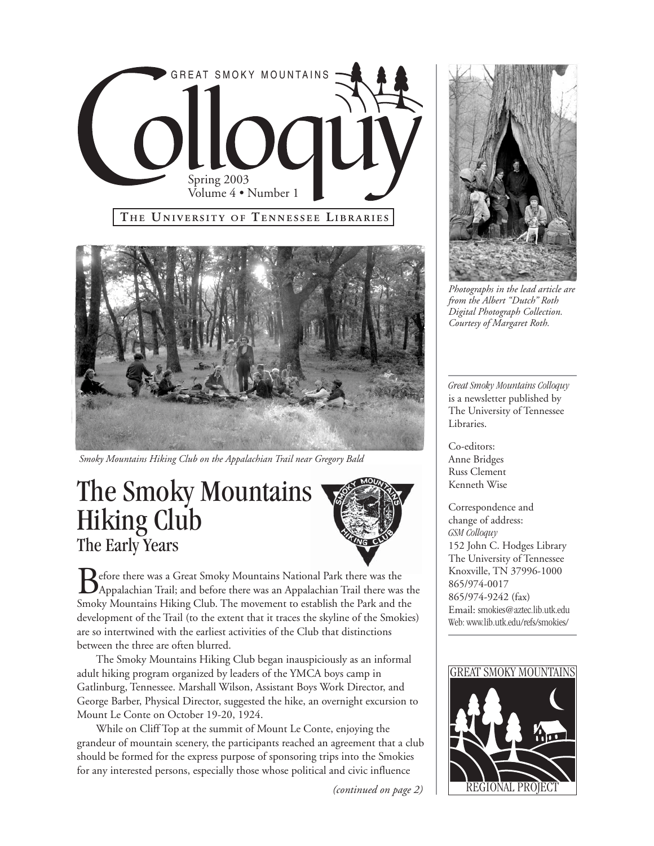



*Smoky Mountains Hiking Club on the Appalachian Trail near Gregory Bald*

# The Smoky Mountains Hiking Club The Early Years



**B**efore there was a Great Smoky Mountains National Park there was the<br>Appalachian Trail; and before there was an Appalachian Trail there was the<br>Smoly Mountains Hilting Club. The mountainty octoblish the Park and the Smoky Mountains Hiking Club. The movement to establish the Park and the development of the Trail (to the extent that it traces the skyline of the Smokies) are so intertwined with the earliest activities of the Club that distinctions between the three are often blurred.

The Smoky Mountains Hiking Club began inauspiciously as an informal adult hiking program organized by leaders of the YMCA boys camp in Gatlinburg, Tennessee. Marshall Wilson, Assistant Boys Work Director, and George Barber, Physical Director, suggested the hike, an overnight excursion to Mount Le Conte on October 19-20, 1924.

While on Cliff Top at the summit of Mount Le Conte, enjoying the grandeur of mountain scenery, the participants reached an agreement that a club should be formed for the express purpose of sponsoring trips into the Smokies for any interested persons, especially those whose political and civic influence

*(continued on page 2)*



*Photographs in the lead article are from the Albert "Dutch" Roth Digital Photograph Collection. Courtesy of Margaret Roth.*

*Great Smoky Mountains Colloquy* is a newsletter published by The University of Tennessee Libraries.

Co-editors: Anne Bridges Russ Clement Kenneth Wise

Correspondence and change of address: *GSM Colloquy* 152 John C. Hodges Library The University of Tennessee Knoxville, TN 37996-1000 865/974-0017 865/974-9242 (fax) Email: smokies@aztec.lib.utk.edu Web: www.lib.utk.edu/refs/smokies/

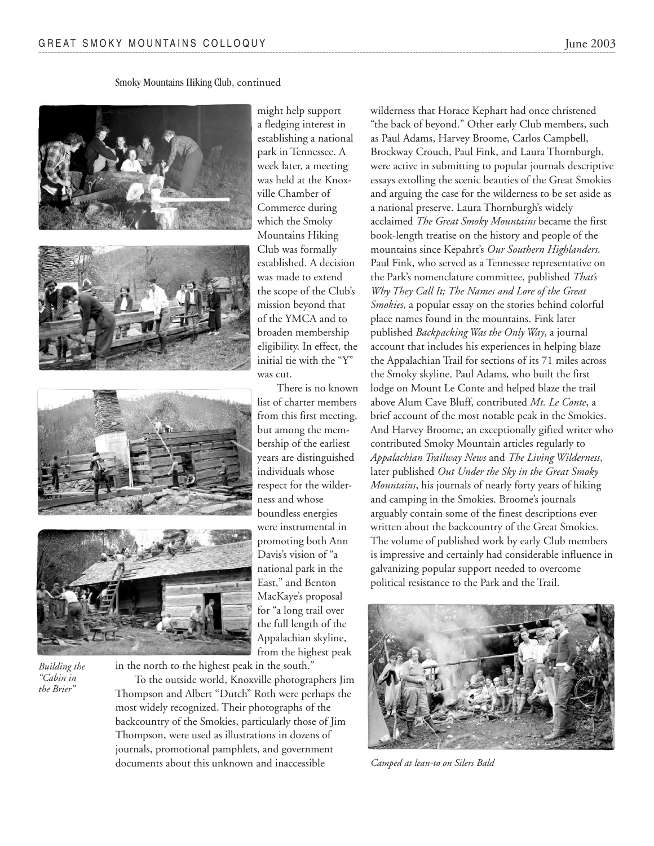Smoky Mountains Hiking Club, continued





*Building the "Cabin in the Brier"*

in the north to the highest peak in the south." To the outside world, Knoxville photographers Jim Thompson and Albert "Dutch" Roth were perhaps the most widely recognized. Their photographs of the backcountry of the Smokies, particularly those of Jim Thompson, were used as illustrations in dozens of journals, promotional pamphlets, and government documents about this unknown and inaccessible

might help support a fledging interest in establishing a national park in Tennessee. A week later, a meeting was held at the Knoxville Chamber of Commerce during which the Smoky Mountains Hiking Club was formally established. A decision was made to extend the scope of the Club's mission beyond that of the YMCA and to broaden membership eligibility. In effect, the initial tie with the "Y" was cut.

There is no known list of charter members from this first meeting, but among the membership of the earliest years are distinguished individuals whose respect for the wilderness and whose boundless energies were instrumental in promoting both Ann Davis's vision of "a national park in the East," and Benton MacKaye's proposal for "a long trail over the full length of the Appalachian skyline, from the highest peak

wilderness that Horace Kephart had once christened "the back of beyond." Other early Club members, such as Paul Adams, Harvey Broome, Carlos Campbell, Brockway Crouch, Paul Fink, and Laura Thornburgh, were active in submitting to popular journals descriptive essays extolling the scenic beauties of the Great Smokies and arguing the case for the wilderness to be set aside as a national preserve. Laura Thornburgh's widely acclaimed *The Great Smoky Mountains* became the first book-length treatise on the history and people of the mountains since Kepahrt's *Our Southern Highlanders*. Paul Fink, who served as a Tennessee representative on the Park's nomenclature committee, published *That's Why They Call It; The Names and Lore of the Great Smokies*, a popular essay on the stories behind colorful place names found in the mountains. Fink later published *Backpacking Was the Only Way*, a journal account that includes his experiences in helping blaze the Appalachian Trail for sections of its 71 miles across the Smoky skyline. Paul Adams, who built the first lodge on Mount Le Conte and helped blaze the trail above Alum Cave Bluff, contributed *Mt. Le Conte*, a brief account of the most notable peak in the Smokies. And Harvey Broome, an exceptionally gifted writer who contributed Smoky Mountain articles regularly to *Appalachian Trailway News* and *The Living Wilderness*, later published *Out Under the Sky in the Great Smoky Mountains*, his journals of nearly forty years of hiking and camping in the Smokies. Broome's journals arguably contain some of the finest descriptions ever written about the backcountry of the Great Smokies. The volume of published work by early Club members is impressive and certainly had considerable influence in galvanizing popular support needed to overcome



political resistance to the Park and the Trail.

*Camped at lean-to on Silers Bald*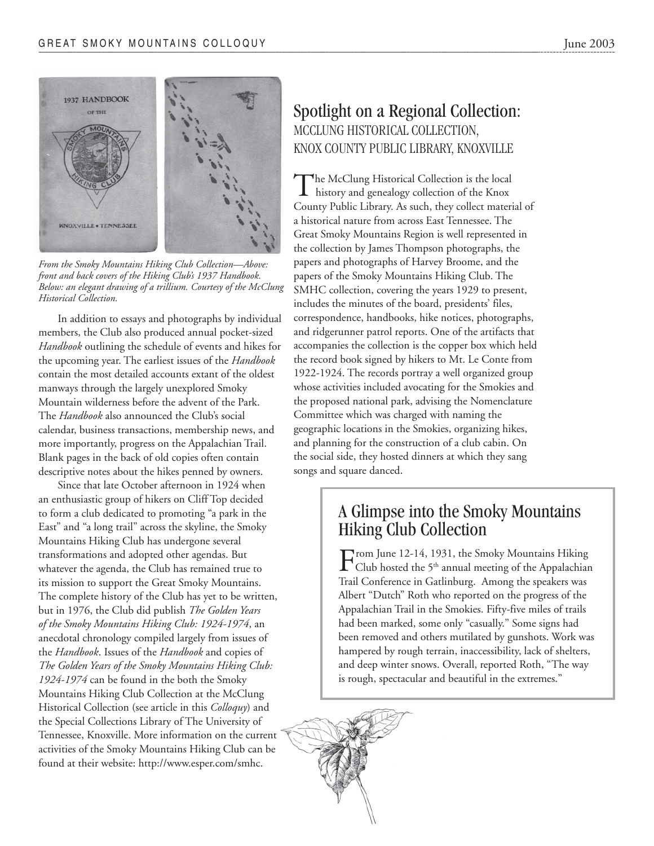

*From the Smoky Mountains Hiking Club Collection—Above: front and back covers of the Hiking Club's 1937 Handbook. Below: an elegant drawing of a trillium. Courtesy of the McClung Historical Collection.*

In addition to essays and photographs by individual members, the Club also produced annual pocket-sized *Handbook* outlining the schedule of events and hikes for the upcoming year. The earliest issues of the *Handbook* contain the most detailed accounts extant of the oldest manways through the largely unexplored Smoky Mountain wilderness before the advent of the Park. The *Handbook* also announced the Club's social calendar, business transactions, membership news, and more importantly, progress on the Appalachian Trail. Blank pages in the back of old copies often contain descriptive notes about the hikes penned by owners.

Since that late October afternoon in 1924 when an enthusiastic group of hikers on Cliff Top decided to form a club dedicated to promoting "a park in the East" and "a long trail" across the skyline, the Smoky Mountains Hiking Club has undergone several transformations and adopted other agendas. But whatever the agenda, the Club has remained true to its mission to support the Great Smoky Mountains. The complete history of the Club has yet to be written, but in 1976, the Club did publish *The Golden Years of the Smoky Mountains Hiking Club: 1924-1974*, an anecdotal chronology compiled largely from issues of the *Handbook*. Issues of the *Handbook* and copies of *The Golden Years of the Smoky Mountains Hiking Club: 1924-1974* can be found in the both the Smoky Mountains Hiking Club Collection at the McClung Historical Collection (see article in this *Colloquy*) and the Special Collections Library of The University of Tennessee, Knoxville. More information on the current activities of the Smoky Mountains Hiking Club can be found at their website: http://www.esper.com/smhc.

### Spotlight on a Regional Collection: MCCLUNG HISTORICAL COLLECTION, KNOX COUNTY PUBLIC LIBRARY, KNOXVILLE

The McClung Historical Collection is the local<br>history and genealogy collection of the Knox County Public Library. As such, they collect material of a historical nature from across East Tennessee. The Great Smoky Mountains Region is well represented in the collection by James Thompson photographs, the papers and photographs of Harvey Broome, and the papers of the Smoky Mountains Hiking Club. The SMHC collection, covering the years 1929 to present, includes the minutes of the board, presidents' files, correspondence, handbooks, hike notices, photographs, and ridgerunner patrol reports. One of the artifacts that accompanies the collection is the copper box which held the record book signed by hikers to Mt. Le Conte from 1922-1924. The records portray a well organized group whose activities included avocating for the Smokies and the proposed national park, advising the Nomenclature Committee which was charged with naming the geographic locations in the Smokies, organizing hikes, and planning for the construction of a club cabin. On the social side, they hosted dinners at which they sang songs and square danced.

### A Glimpse into the Smoky Mountains Hiking Club Collection

From June 12-14, 1931, the Smoky Mountains Hiking Club hosted the  $5<sup>th</sup>$  annual meeting of the Appalachian Trail Conference in Gatlinburg. Among the speakers was Albert "Dutch" Roth who reported on the progress of the Appalachian Trail in the Smokies. Fifty-five miles of trails had been marked, some only "casually." Some signs had been removed and others mutilated by gunshots. Work was hampered by rough terrain, inaccessibility, lack of shelters, and deep winter snows. Overall, reported Roth, "The way is rough, spectacular and beautiful in the extremes."